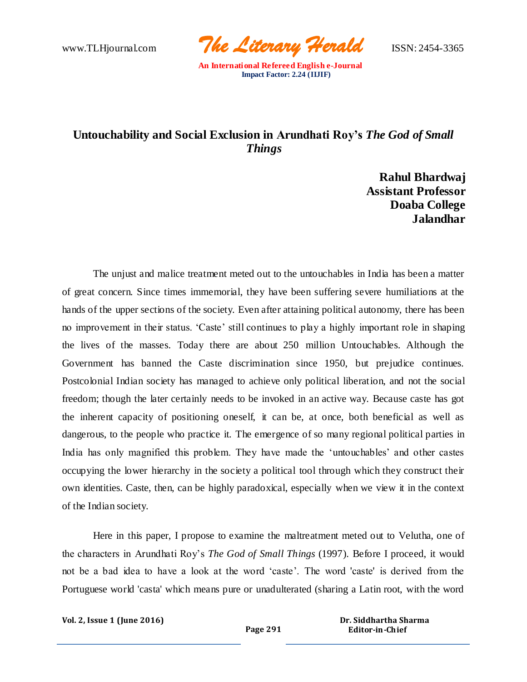www.TLHjournal.com *The Literary Herald*ISSN: 2454-3365

## **Untouchability and Social Exclusion in Arundhati Roy's** *The God of Small Things*

**Rahul Bhardwaj Assistant Professor Doaba College Jalandhar**

The unjust and malice treatment meted out to the untouchables in India has been a matter of great concern. Since times immemorial, they have been suffering severe humiliations at the hands of the upper sections of the society. Even after attaining political autonomy, there has been no improvement in their status. 'Caste' still continues to play a highly important role in shaping the lives of the masses. Today there are about 250 million Untouchables. Although the Government has banned the Caste discrimination since 1950, but prejudice continues. Postcolonial Indian society has managed to achieve only political liberation, and not the social freedom; though the later certainly needs to be invoked in an active way. Because caste has got the inherent capacity of positioning oneself, it can be, at once, both beneficial as well as dangerous, to the people who practice it. The emergence of so many regional political parties in India has only magnified this problem. They have made the 'untouchables' and other castes occupying the lower hierarchy in the society a political tool through which they construct their own identities. Caste, then, can be highly paradoxical, especially when we view it in the context of the Indian society.

Here in this paper, I propose to examine the maltreatment meted out to Velutha, one of the characters in Arundhati Roy's *The God of Small Things* (1997). Before I proceed, it would not be a bad idea to have a look at the word 'caste'. The word 'caste' is derived from the Portuguese world 'casta' which means pure or unadulterated (sharing a Latin root, with the word

**Vol. 2, Issue 1 (June 2016)**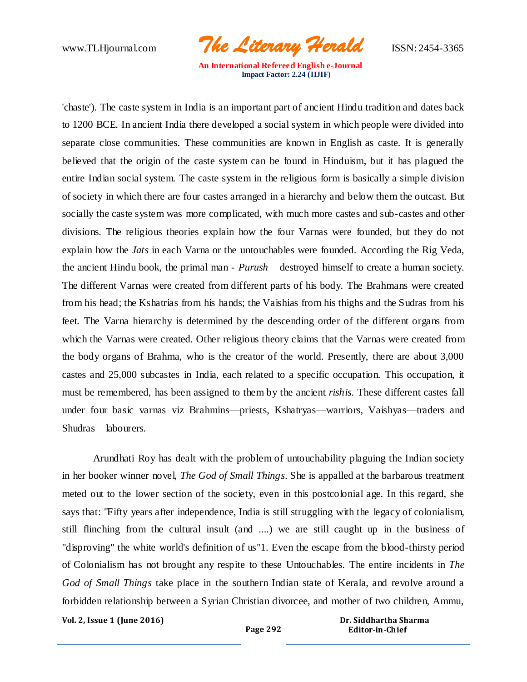www.TLHjournal.com *The Literary Herald*ISSN: 2454-3365

'chaste'). The caste system in India is an important part of ancient Hindu tradition and dates back to 1200 BCE. In ancient India there developed a social system in which people were divided into separate close communities. These communities are known in English as caste. It is generally believed that the origin of the caste system can be found in Hinduism, but it has plagued the entire Indian social system. The caste system in the religious form is basically a simple division of society in which there are four castes arranged in a hierarchy and below them the outcast. But socially the caste system was more complicated, with much more castes and sub-castes and other divisions. The religious theories explain how the four Varnas were founded, but they do not explain how the *Jats* in each Varna or the untouchables were founded. According the Rig Veda, the ancient Hindu book, the primal man - *Purush* – destroyed himself to create a human society. The different Varnas were created from different parts of his body. The Brahmans were created from his head; the Kshatrias from his hands; the Vaishias from his thighs and the Sudras from his feet. The Varna hierarchy is determined by the descending order of the different organs from which the Varnas were created. Other religious theory claims that the Varnas were created from the body organs of Brahma, who is the creator of the world. Presently, there are about 3,000 castes and 25,000 subcastes in India, each related to a specific occupation. This occupation, it must be remembered, has been assigned to them by the ancient *rishis*. These different castes fall under four basic varnas viz Brahmins—priests, Kshatryas—warriors, Vaishyas—traders and Shudras—labourers.

Arundhati Roy has dealt with the problem of untouchability plaguing the Indian society in her booker winner novel, *The God of Small Things*. She is appalled at the barbarous treatment meted out to the lower section of the society, even in this postcolonial age. In this regard, she says that: "Fifty years after independence, India is still struggling with the legacy of colonialism, still flinching from the cultural insult (and ....) we are still caught up in the business of "disproving" the white world's definition of us"1. Even the escape from the blood-thirsty period of Colonialism has not brought any respite to these Untouchables. The entire incidents in *The God of Small Things* take place in the southern Indian state of Kerala, and revolve around a forbidden relationship between a Syrian Christian divorcee, and mother of two children, Ammu,

**Vol. 2, Issue 1 (June 2016)**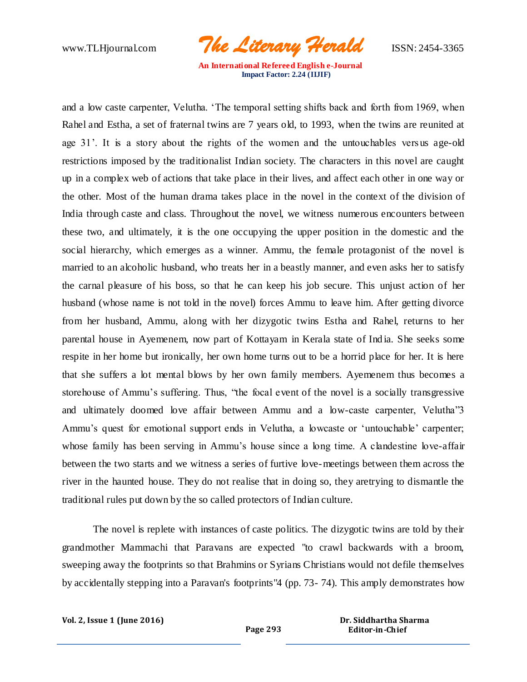www.TLHjournal.com *The Literary Herald*ISSN: 2454-3365

and a low caste carpenter, Velutha. 'The temporal setting shifts back and forth from 1969, when Rahel and Estha, a set of fraternal twins are 7 years old, to 1993, when the twins are reunited at age 31'. It is a story about the rights of the women and the untouchables versus age-old restrictions imposed by the traditionalist Indian society. The characters in this novel are caught up in a complex web of actions that take place in their lives, and affect each other in one way or the other. Most of the human drama takes place in the novel in the context of the division of India through caste and class. Throughout the novel, we witness numerous encounters between these two, and ultimately, it is the one occupying the upper position in the domestic and the social hierarchy, which emerges as a winner. Ammu, the female protagonist of the novel is married to an alcoholic husband, who treats her in a beastly manner, and even asks her to satisfy the carnal pleasure of his boss, so that he can keep his job secure. This unjust action of her husband (whose name is not told in the novel) forces Ammu to leave him. After getting divorce from her husband, Ammu, along with her dizygotic twins Estha and Rahel, returns to her parental house in Ayemenem, now part of Kottayam in Kerala state of Ind ia. She seeks some respite in her home but ironically, her own home turns out to be a horrid place for her. It is here that she suffers a lot mental blows by her own family members. Ayemenem thus becomes a storehouse of Ammu's suffering. Thus, "the focal event of the novel is a socially transgressive and ultimately doomed love affair between Ammu and a low-caste carpenter, Velutha"3 Ammu's quest for emotional support ends in Velutha, a lowcaste or 'untouchable' carpenter; whose family has been serving in Ammu's house since a long time. A clandestine love-affair between the two starts and we witness a series of furtive love-meetings between them across the river in the haunted house. They do not realise that in doing so, they aretrying to dismantle the traditional rules put down by the so called protectors of Indian culture.

The novel is replete with instances of caste politics. The dizygotic twins are told by their grandmother Mammachi that Paravans are expected "to crawl backwards with a broom, sweeping away the footprints so that Brahmins or Syrians Christians would not defile themselves by accidentally stepping into a Paravan's footprints"4 (pp. 73- 74). This amply demonstrates how

**Vol. 2, Issue 1 (June 2016)**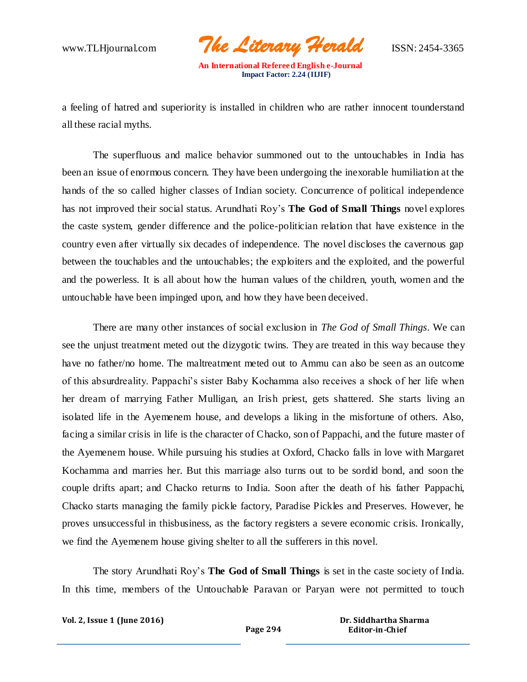www.TLHjournal.com *The Literary Herald*ISSN: 2454-3365

a feeling of hatred and superiority is installed in children who are rather innocent tounderstand all these racial myths.

The superfluous and malice behavior summoned out to the untouchables in India has been an issue of enormous concern. They have been undergoing the inexorable humiliation at the hands of the so called higher classes of Indian society. Concurrence of political independence has not improved their social status. Arundhati Roy's **The God of Small Things** novel explores the caste system, gender difference and the police-politician relation that have existence in the country even after virtually six decades of independence. The novel discloses the cavernous gap between the touchables and the untouchables; the exploiters and the exploited, and the powerful and the powerless. It is all about how the human values of the children, youth, women and the untouchable have been impinged upon, and how they have been deceived.

There are many other instances of social exclusion in *The God of Small Things*. We can see the unjust treatment meted out the dizygotic twins. They are treated in this way because they have no father/no home. The maltreatment meted out to Ammu can also be seen as an outcome of this absurdreality. Pappachi's sister Baby Kochamma also receives a shock of her life when her dream of marrying Father Mulligan, an Irish priest, gets shattered. She starts living an isolated life in the Ayemenem house, and develops a liking in the misfortune of others. Also, facing a similar crisis in life is the character of Chacko, son of Pappachi, and the future master of the Ayemenem house. While pursuing his studies at Oxford, Chacko falls in love with Margaret Kochamma and marries her. But this marriage also turns out to be sordid bond, and soon the couple drifts apart; and Chacko returns to India. Soon after the death of his father Pappachi, Chacko starts managing the family pickle factory, Paradise Pickles and Preserves. However, he proves unsuccessful in thisbusiness, as the factory registers a severe economic crisis. Ironically, we find the Ayemenem house giving shelter to all the sufferers in this novel.

The story Arundhati Roy's **The God of Small Things** is set in the caste society of India. In this time, members of the Untouchable Paravan or Paryan were not permitted to touch

**Vol. 2, Issue 1 (June 2016)**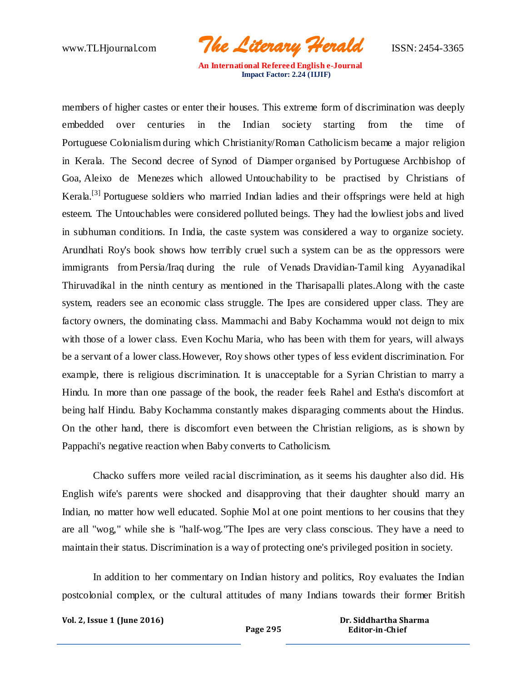www.TLHjournal.com *The Literary Herald*ISSN: 2454-3365

members of higher castes or enter their houses. This extreme form of discrimination was deeply embedded over centuries in the Indian society starting from the time of Portuguese [Colonialism](http://en.wikipedia.org/wiki/Colonialism) during which Christianity[/Roman Catholicism](http://en.wikipedia.org/wiki/Roman_Catholicism) became a major religion in Kerala. The Second decree of [Synod of Diamper](http://en.wikipedia.org/wiki/Synod_of_Diamper) organised by [Portuguese](http://en.wikipedia.org/wiki/Portugal) Archbishop of Goa, [Aleixo de Menezes](http://en.wikipedia.org/wiki/Aleixo_de_Menezes) which allowed [Untouchability](http://en.wikipedia.org/wiki/Untouchability) to be practised by Christians of Kerala.<sup>[\[3\]](http://en.wikipedia.org/wiki/The_God_of_Small_Things#cite_note-2)</sup> Portuguese soldiers who married Indian ladies and their offsprings were held at high esteem. The Untouchables were considered polluted beings. They had the lowliest jobs and lived in subhuman conditions. In India, the caste system was considered a way to organize society. Arundhati Roy's book shows how terribly cruel such a system can be as the oppressors were immigrants from [Persia](http://en.wikipedia.org/wiki/Persia)[/Iraq](http://en.wikipedia.org/wiki/Iraq) during the rule of [Venads](http://en.wikipedia.org/wiki/Venad) [Dravidian-](http://en.wikipedia.org/wiki/Dravidian)[Tamil](http://en.wikipedia.org/wiki/Tamil_people) king Ayyanadikal Thiruvadikal in the ninth century as mentioned in the [Tharisapalli plates.](http://en.wikipedia.org/wiki/Tharisapalli_plates)Along with the caste system, readers see an economic class struggle. The Ipes are considered upper class. They are factory owners, the dominating class. Mammachi and Baby Kochamma would not deign to mix with those of a lower class. Even Kochu Maria, who has been with them for years, will always be a servant of a lower class.However, Roy shows other types of less evident discrimination. For example, there is religious discrimination. It is unacceptable for a Syrian Christian to marry a Hindu. In more than one passage of the book, the reader feels Rahel and Estha's discomfort at being half Hindu. Baby Kochamma constantly makes disparaging comments about the Hindus. On the other hand, there is discomfort even between the Christian religions, as is shown by Pappachi's negative reaction when Baby converts to Catholicism.

Chacko suffers more veiled racial discrimination, as it seems his daughter also did. His English wife's parents were shocked and disapproving that their daughter should marry an Indian, no matter how well educated. Sophie Mol at one point mentions to her cousins that they are all "wog," while she is "half-wog."The Ipes are very class conscious. They have a need to maintain their status. Discrimination is a way of protecting one's privileged position in society.

In addition to her commentary on Indian history and politics, Roy evaluates the Indian postcolonial complex, or the cultural attitudes of many Indians towards their former British

**Vol. 2, Issue 1 (June 2016)**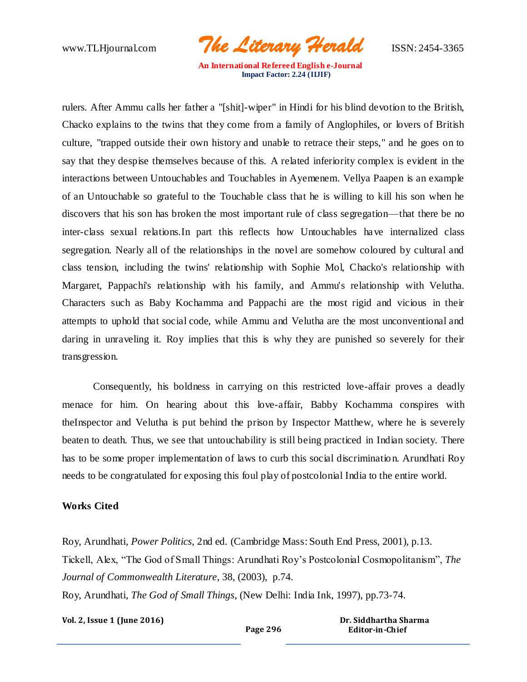www.TLHjournal.com *The Literary Herald*ISSN: 2454-3365

rulers. After Ammu calls her father a "[shit]-wiper" in Hindi for his blind devotion to the British, Chacko explains to the twins that they come from a family of Anglophiles, or lovers of British culture, "trapped outside their own history and unable to retrace their steps," and he goes on to say that they despise themselves because of this. A related inferiority complex is evident in the interactions between Untouchables and Touchables in Ayemenem. Vellya Paapen is an example of an Untouchable so grateful to the Touchable class that he is willing to kill his son when he discovers that his son has broken the most important rule of class segregation—that there be no inter-class sexual relations.In part this reflects how Untouchables have internalized class segregation. Nearly all of the relationships in the novel are somehow coloured by cultural and class tension, including the twins' relationship with Sophie Mol, Chacko's relationship with Margaret, Pappachi's relationship with his family, and Ammu's relationship with Velutha. Characters such as Baby Kochamma and Pappachi are the most rigid and vicious in their attempts to uphold that social code, while Ammu and Velutha are the most unconventional and daring in unraveling it. Roy implies that this is why they are punished so severely for their transgression.

Consequently, his boldness in carrying on this restricted love-affair proves a deadly menace for him. On hearing about this love-affair, Babby Kochamma conspires with theInspector and Velutha is put behind the prison by Inspector Matthew, where he is severely beaten to death. Thus, we see that untouchability is still being practiced in Indian society. There has to be some proper implementation of laws to curb this social discrimination. Arundhati Roy needs to be congratulated for exposing this foul play of postcolonial India to the entire world.

## **Works Cited**

Roy, Arundhati, *Power Politics*, 2nd ed. (Cambridge Mass: South End Press, 2001), p.13. Tickell, Alex, "The God of Small Things: Arundhati Roy's Postcolonial Cosmopolitanism", *The Journal of Commonwealth Literature*, 38, (2003), p.74.

Roy, Arundhati, *The God of Small Things*, (New Delhi: India Ink, 1997), pp.73-74.

**Vol. 2, Issue 1 (June 2016)** 

**Page 296**